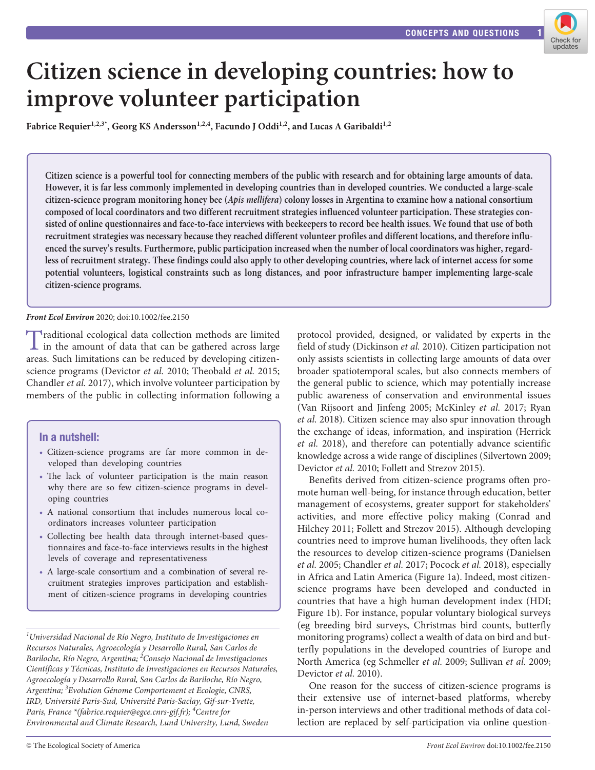

# **Citizen science in developing countries: how to improve volunteer participation**

Fabrice Requier<sup>1,2,3\*</sup>, Georg KS Andersson<sup>1,2,4</sup>, Facundo J Oddi<sup>1,2</sup>, and Lucas A Garibaldi<sup>1,2</sup>

**Citizen science is a powerful tool for connecting members of the public with research and for obtaining large amounts of data. However, it is far less commonly implemented in developing countries than in developed countries. We conducted a large-scale citizen-science program monitoring honey bee (***Apis mellifera***) colony losses in Argentina to examine how a national consortium composed of local coordinators and two different recruitment strategies influenced volunteer participation. These strategies consisted of online questionnaires and face-to-face interviews with beekeepers to record bee health issues. We found that use of both recruitment strategies was necessary because they reached different volunteer profiles and different locations, and therefore influenced the survey's results. Furthermore, public participation increased when the number of local coordinators was higher, regardless of recruitment strategy. These findings could also apply to other developing countries, where lack of internet access for some potential volunteers, logistical constraints such as long distances, and poor infrastructure hamper implementing large-scale citizen-science programs.**

## *Front Ecol Environ* 2020; doi:10.1002/fee.2150

Traditional ecological data collection methods are limited in the amount of data that can be gathered across large areas. Such limitations can be reduced by developing citizenscience programs (Devictor *et al.* 2010; Theobald *et al.* 2015; Chandler *et al.* 2017), which involve volunteer participation by members of the public in collecting information following a

## In a nutshell:

- Citizen-science programs are far more common in developed than developing countries
- The lack of volunteer participation is the main reason why there are so few citizen-science programs in developing countries
- A national consortium that includes numerous local coordinators increases volunteer participation
- Collecting bee health data through internet-based questionnaires and face-to-face interviews results in the highest levels of coverage and representativeness
- A large-scale consortium and a combination of several recruitment strategies improves participation and establishment of citizen-science programs in developing countries

*1 Universidad Nacional de Río Negro, Instituto de Investigaciones en Recursos Naturales, Agroecología y Desarrollo Rural, San Carlos de Bariloche, Río Negro, Argentina; <sup>2</sup> Consejo Nacional de Investigaciones Científicas y Técnicas, Instituto de Investigaciones en Recursos Naturales, Agroecología y Desarrollo Rural, San Carlos de Bariloche, Río Negro, Argentina; <sup>3</sup> Evolution Génome Comportement et Ecologie, CNRS, IRD, Université Paris-Sud, Université Paris-Saclay, Gif-sur-Yvette, Paris, France \*(fabrice.requier@egce.cnrs-gif.fr); <sup>4</sup> Centre for Environmental and Climate Research, Lund University, Lund, Sweden*

protocol provided, designed, or validated by experts in the field of study (Dickinson *et al.* 2010). Citizen participation not only assists scientists in collecting large amounts of data over broader spatiotemporal scales, but also connects members of the general public to science, which may potentially increase public awareness of conservation and environmental issues (Van Rijsoort and Jinfeng 2005; McKinley *et al.* 2017; Ryan *et al.* 2018). Citizen science may also spur innovation through the exchange of ideas, information, and inspiration (Herrick *et al.* 2018), and therefore can potentially advance scientific knowledge across a wide range of disciplines (Silvertown 2009; Devictor *et al.* 2010; Follett and Strezov 2015).

Benefits derived from citizen-science programs often promote human well-being, for instance through education, better management of ecosystems, greater support for stakeholders' activities, and more effective policy making (Conrad and Hilchey 2011; Follett and Strezov 2015). Although developing countries need to improve human livelihoods, they often lack the resources to develop citizen-science programs (Danielsen *et al.* 2005; Chandler *et al.* 2017; Pocock *et al.* 2018), especially in Africa and Latin America (Figure 1a). Indeed, most citizenscience programs have been developed and conducted in countries that have a high human development index (HDI; Figure 1b). For instance, popular voluntary biological surveys (eg breeding bird surveys, Christmas bird counts, butterfly monitoring programs) collect a wealth of data on bird and butterfly populations in the developed countries of Europe and North America (eg Schmeller *et al.* 2009; Sullivan *et al.* 2009; Devictor *et al.* 2010).

One reason for the success of citizen-science programs is their extensive use of internet-based platforms, whereby in-person interviews and other traditional methods of data collection are replaced by self-participation via online question-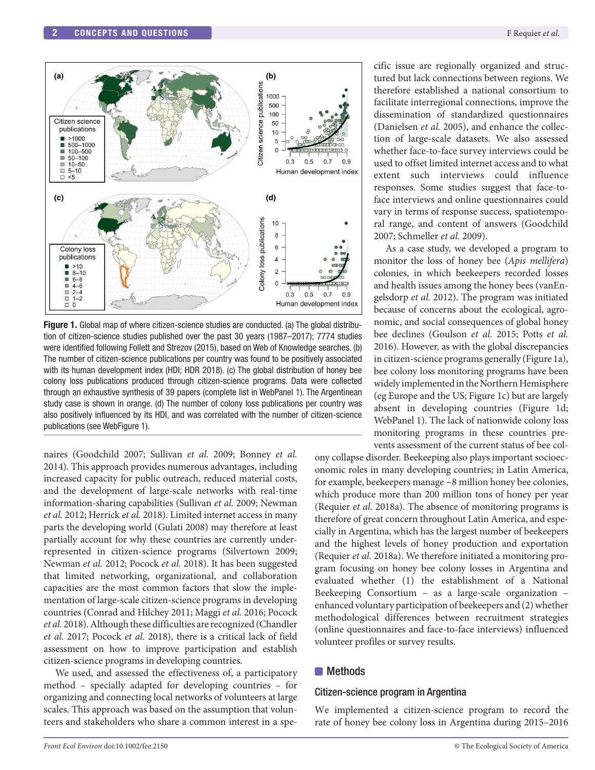

**Figure 1.** Global map of where citizen-science studies are conducted. (a) The global distribution of citizen-science studies published over the past 30 years (1987–2017); 7774 studies were identified following Follett and Strezov (2015), based on Web of Knowledge searches. (b) The number of citizen-science publications per country was found to be positively associated with its human development index (HDI; HDR 2018). (c) The global distribution of honey bee colony loss publications produced through citizen-science programs. Data were collected through an exhaustive synthesis of 39 papers (complete list in WebPanel 1). The Argentinean study case is shown in orange. (d) The number of colony loss publications per country was also positively influenced by its HDI, and was correlated with the number of citizen-science publications (see WebFigure 1).

naires (Goodchild 2007; Sullivan *et al.* 2009; Bonney *et al.* 2014). This approach provides numerous advantages, including increased capacity for public outreach, reduced material costs, and the development of large-scale networks with real-time information-sharing capabilities (Sullivan *et al.* 2009; Newman *et al.* 2012; Herrick *et al.* 2018). Limited internet access in many parts the developing world (Gulati 2008) may therefore at least partially account for why these countries are currently underrepresented in citizen-science programs (Silvertown 2009; Newman *et al.* 2012; Pocock *et al.* 2018). It has been suggested that limited networking, organizational, and collaboration capacities are the most common factors that slow the implementation of large-scale citizen-science programs in developing countries (Conrad and Hilchey 2011; Maggi *et al.* 2016; Pocock *et al.* 2018). Although these difficulties are recognized (Chandler *et al.* 2017; Pocock *et al.* 2018), there is a critical lack of field assessment on how to improve participation and establish citizen-science programs in developing countries.

We used, and assessed the effectiveness of, a participatory method – specially adapted for developing countries – for organizing and connecting local networks of volunteers at large scales. This approach was based on the assumption that volunteers and stakeholders who share a common interest in a specific issue are regionally organized and structured but lack connections between regions. We therefore established a national consortium to facilitate interregional connections, improve the dissemination of standardized questionnaires (Danielsen *et al.* 2005), and enhance the collection of large-scale datasets. We also assessed whether face-to-face survey interviews could be used to offset limited internet access and to what extent such interviews could influence responses. Some studies suggest that face-toface interviews and online questionnaires could vary in terms of response success, spatiotemporal range, and content of answers (Goodchild 2007; Schmeller *et al.* 2009).

As a case study, we developed a program to monitor the loss of honey bee (*Apis mellifera*) colonies, in which beekeepers recorded losses and health issues among the honey bees (vanEngelsdorp *et al.* 2012). The program was initiated because of concerns about the ecological, agronomic, and social consequences of global honey bee declines (Goulson *et al.* 2015; Potts *et al.* 2016). However, as with the global discrepancies in citizen-science programs generally (Figure 1a), bee colony loss monitoring programs have been widely implemented in the Northern Hemisphere (eg Europe and the US; Figure 1c) but are largely absent in developing countries (Figure 1d; WebPanel 1). The lack of nationwide colony loss monitoring programs in these countries prevents assessment of the current status of bee col-

ony collapse disorder. Beekeeping also plays important socioeconomic roles in many developing countries; in Latin America, for example, beekeepers manage ~8 million honey bee colonies, which produce more than 200 million tons of honey per year (Requier *et al.* 2018a). The absence of monitoring programs is therefore of great concern throughout Latin America, and especially in Argentina, which has the largest number of beekeepers and the highest levels of honey production and exportation (Requier *et al.* 2018a). We therefore initiated a monitoring program focusing on honey bee colony losses in Argentina and evaluated whether (1) the establishment of a National Beekeeping Consortium – as a large-scale organization – enhanced voluntary participation of beekeepers and (2) whether methodological differences between recruitment strategies (online questionnaires and face-to-face interviews) influenced volunteer profiles or survey results.

## **Methods**

## Citizen-science program in Argentina

We implemented a citizen-science program to record the rate of honey bee colony loss in Argentina during 2015–2016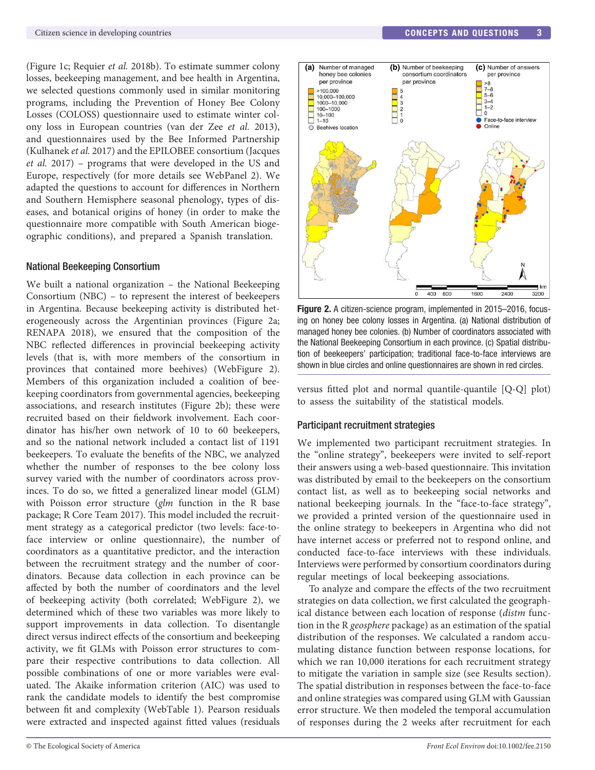(Figure 1c; Requier *et al.* 2018b). To estimate summer colony losses, beekeeping management, and bee health in Argentina, we selected questions commonly used in similar monitoring programs, including the Prevention of Honey Bee Colony Losses (COLOSS) questionnaire used to estimate winter colony loss in European countries (van der Zee *et al.* 2013), and questionnaires used by the Bee Informed Partnership (Kulhanek *et al.* 2017) and the EPILOBEE consortium (Jacques *et al.* 2017) – programs that were developed in the US and Europe, respectively (for more details see WebPanel 2). We adapted the questions to account for differences in Northern and Southern Hemisphere seasonal phenology, types of diseases, and botanical origins of honey (in order to make the questionnaire more compatible with South American biogeographic conditions), and prepared a Spanish translation.

#### National Beekeeping Consortium

We built a national organization – the National Beekeeping Consortium (NBC) – to represent the interest of beekeepers in Argentina. Because beekeeping activity is distributed heterogeneously across the Argentinian provinces (Figure 2a; RENAPA 2018), we ensured that the composition of the NBC reflected differences in provincial beekeeping activity levels (that is, with more members of the consortium in provinces that contained more beehives) (WebFigure 2). Members of this organization included a coalition of beekeeping coordinators from governmental agencies, beekeeping associations, and research institutes (Figure 2b); these were recruited based on their fieldwork involvement. Each coordinator has his/her own network of 10 to 60 beekeepers, and so the national network included a contact list of 1191 beekeepers. To evaluate the benefits of the NBC, we analyzed whether the number of responses to the bee colony loss survey varied with the number of coordinators across provinces. To do so, we fitted a generalized linear model (GLM) with Poisson error structure (*glm* function in the R base package; R Core Team 2017). This model included the recruitment strategy as a categorical predictor (two levels: face-toface interview or online questionnaire), the number of coordinators as a quantitative predictor, and the interaction between the recruitment strategy and the number of coordinators. Because data collection in each province can be affected by both the number of coordinators and the level of beekeeping activity (both correlated; WebFigure 2), we determined which of these two variables was more likely to support improvements in data collection. To disentangle direct versus indirect effects of the consortium and beekeeping activity, we fit GLMs with Poisson error structures to compare their respective contributions to data collection. All possible combinations of one or more variables were evaluated. The Akaike information criterion (AIC) was used to rank the candidate models to identify the best compromise between fit and complexity (WebTable 1). Pearson residuals were extracted and inspected against fitted values (residuals



Figure 2. A citizen-science program, implemented in 2015–2016, focusing on honey bee colony losses in Argentina. (a) National distribution of managed honey bee colonies. (b) Number of coordinators associated with the National Beekeeping Consortium in each province. (c) Spatial distribution of beekeepers' participation; traditional face-to-face interviews are shown in blue circles and online questionnaires are shown in red circles.

versus fitted plot and normal quantile-quantile [Q-Q] plot) to assess the suitability of the statistical models.

#### Participant recruitment strategies

We implemented two participant recruitment strategies. In the "online strategy", beekeepers were invited to self-report their answers using a web-based questionnaire. This invitation was distributed by email to the beekeepers on the consortium contact list, as well as to beekeeping social networks and national beekeeping journals. In the "face-to-face strategy", we provided a printed version of the questionnaire used in the online strategy to beekeepers in Argentina who did not have internet access or preferred not to respond online, and conducted face-to-face interviews with these individuals. Interviews were performed by consortium coordinators during regular meetings of local beekeeping associations.

To analyze and compare the effects of the two recruitment strategies on data collection, we first calculated the geographical distance between each location of response (*distm* function in the R *geosphere* package) as an estimation of the spatial distribution of the responses. We calculated a random accumulating distance function between response locations, for which we ran 10,000 iterations for each recruitment strategy to mitigate the variation in sample size (see Results section). The spatial distribution in responses between the face-to-face and online strategies was compared using GLM with Gaussian error structure. We then modeled the temporal accumulation of responses during the 2 weeks after recruitment for each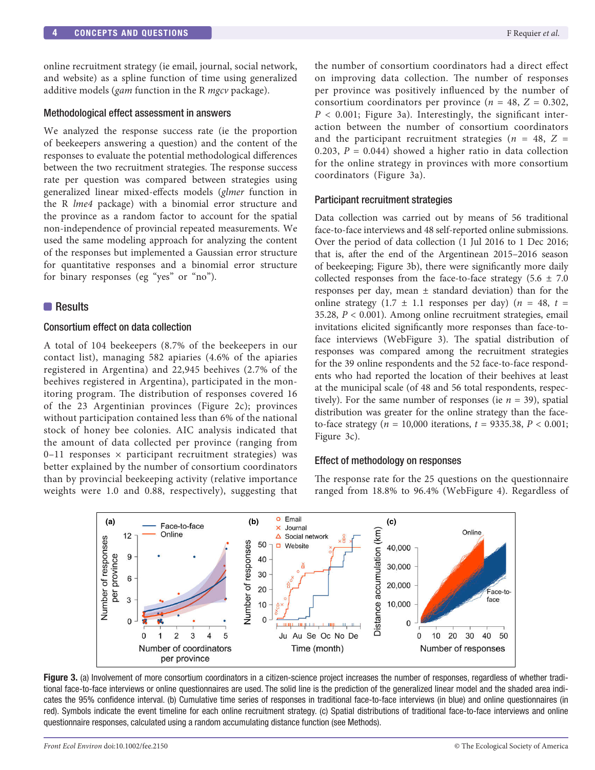online recruitment strategy (ie email, journal, social network, and website) as a spline function of time using generalized additive models (*gam* function in the R *mgcv* package).

#### Methodological effect assessment in answers

We analyzed the response success rate (ie the proportion of beekeepers answering a question) and the content of the responses to evaluate the potential methodological differences between the two recruitment strategies. The response success rate per question was compared between strategies using generalized linear mixed-effects models (*glmer* function in the R *lme4* package) with a binomial error structure and the province as a random factor to account for the spatial non-independence of provincial repeated measurements. We used the same modeling approach for analyzing the content of the responses but implemented a Gaussian error structure for quantitative responses and a binomial error structure for binary responses (eg "yes" or "no").

#### **Results**

#### Consortium effect on data collection

A total of 104 beekeepers (8.7% of the beekeepers in our contact list), managing 582 apiaries (4.6% of the apiaries registered in Argentina) and 22,945 beehives (2.7% of the beehives registered in Argentina), participated in the monitoring program. The distribution of responses covered 16 of the 23 Argentinian provinces (Figure 2c); provinces without participation contained less than 6% of the national stock of honey bee colonies. AIC analysis indicated that the amount of data collected per province (ranging from 0-11 responses  $\times$  participant recruitment strategies) was better explained by the number of consortium coordinators than by provincial beekeeping activity (relative importance weights were 1.0 and 0.88, respectively), suggesting that

the number of consortium coordinators had a direct effect on improving data collection. The number of responses per province was positively influenced by the number of consortium coordinators per province ( $n = 48$ ,  $Z = 0.302$ ,  $P < 0.001$ ; Figure 3a). Interestingly, the significant interaction between the number of consortium coordinators and the participant recruitment strategies ( $n = 48$ ,  $Z =$ 0.203,  $P = 0.044$ ) showed a higher ratio in data collection for the online strategy in provinces with more consortium coordinators (Figure 3a).

#### Participant recruitment strategies

Data collection was carried out by means of 56 traditional face-to-face interviews and 48 self-reported online submissions. Over the period of data collection (1 Jul 2016 to 1 Dec 2016; that is, after the end of the Argentinean 2015–2016 season of beekeeping; Figure 3b), there were significantly more daily collected responses from the face-to-face strategy  $(5.6 \pm 7.0)$ responses per day, mean  $\pm$  standard deviation) than for the online strategy  $(1.7 \pm 1.1$  responses per day)  $(n = 48, t =$ 35.28, *P* < 0.001). Among online recruitment strategies, email invitations elicited significantly more responses than face-toface interviews (WebFigure 3). The spatial distribution of responses was compared among the recruitment strategies for the 39 online respondents and the 52 face-to-face respondents who had reported the location of their beehives at least at the municipal scale (of 48 and 56 total respondents, respectively). For the same number of responses (ie  $n = 39$ ), spatial distribution was greater for the online strategy than the faceto-face strategy ( $n = 10,000$  iterations,  $t = 9335.38$ ,  $P < 0.001$ ; Figure 3c).

#### Effect of methodology on responses

The response rate for the 25 questions on the questionnaire ranged from 18.8% to 96.4% (WebFigure 4). Regardless of



Figure 3. (a) Involvement of more consortium coordinators in a citizen-science project increases the number of responses, regardless of whether traditional face-to-face interviews or online questionnaires are used. The solid line is the prediction of the generalized linear model and the shaded area indicates the 95% confidence interval. (b) Cumulative time series of responses in traditional face-to-face interviews (in blue) and online questionnaires (in red). Symbols indicate the event timeline for each online recruitment strategy. (c) Spatial distributions of traditional face-to-face interviews and online questionnaire responses, calculated using a random accumulating distance function (see Methods).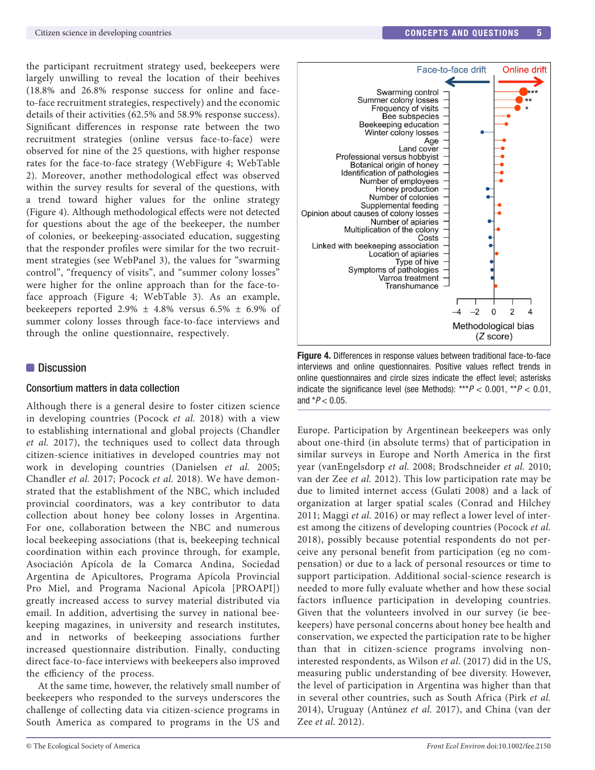the participant recruitment strategy used, beekeepers were largely unwilling to reveal the location of their beehives (18.8% and 26.8% response success for online and faceto-face recruitment strategies, respectively) and the economic details of their activities (62.5% and 58.9% response success). Significant differences in response rate between the two recruitment strategies (online versus face-to-face) were observed for nine of the 25 questions, with higher response rates for the face-to-face strategy (WebFigure 4; WebTable 2). Moreover, another methodological effect was observed within the survey results for several of the questions, with a trend toward higher values for the online strategy (Figure 4). Although methodological effects were not detected for questions about the age of the beekeeper, the number of colonies, or beekeeping-associated education, suggesting that the responder profiles were similar for the two recruitment strategies (see WebPanel 3), the values for "swarming control", "frequency of visits", and "summer colony losses" were higher for the online approach than for the face-toface approach (Figure 4; WebTable 3). As an example, beekeepers reported 2.9%  $\pm$  4.8% versus 6.5%  $\pm$  6.9% of summer colony losses through face-to-face interviews and through the online questionnaire, respectively.

## **Discussion**

## Consortium matters in data collection

Although there is a general desire to foster citizen science in developing countries (Pocock *et al.* 2018) with a view to establishing international and global projects (Chandler *et al.* 2017), the techniques used to collect data through citizen-science initiatives in developed countries may not work in developing countries (Danielsen *et al.* 2005; Chandler *et al.* 2017; Pocock *et al.* 2018). We have demonstrated that the establishment of the NBC, which included provincial coordinators, was a key contributor to data collection about honey bee colony losses in Argentina. For one, collaboration between the NBC and numerous local beekeeping associations (that is, beekeeping technical coordination within each province through, for example, Asociación Apícola de la Comarca Andina, Sociedad Argentina de Apicultores, Programa Apícola Provincial Pro Miel, and Programa Nacional Apícola [PROAPI]) greatly increased access to survey material distributed via email. In addition, advertising the survey in national beekeeping magazines, in university and research institutes, and in networks of beekeeping associations further increased questionnaire distribution. Finally, conducting direct face-to-face interviews with beekeepers also improved the efficiency of the process.

At the same time, however, the relatively small number of beekeepers who responded to the surveys underscores the challenge of collecting data via citizen-science programs in South America as compared to programs in the US and



**Figure 4.** Differences in response values between traditional face-to-face interviews and online questionnaires. Positive values reflect trends in online questionnaires and circle sizes indicate the effect level; asterisks indicate the significance level (see Methods):  $***P < 0.001$ ,  $**P < 0.01$ , and  $*P < 0.05$ .

Europe. Participation by Argentinean beekeepers was only about one-third (in absolute terms) that of participation in similar surveys in Europe and North America in the first year (vanEngelsdorp *et al.* 2008; Brodschneider *et al.* 2010; van der Zee *et al.* 2012). This low participation rate may be due to limited internet access (Gulati 2008) and a lack of organization at larger spatial scales (Conrad and Hilchey 2011; Maggi *et al.* 2016) or may reflect a lower level of interest among the citizens of developing countries (Pocock *et al.* 2018), possibly because potential respondents do not perceive any personal benefit from participation (eg no compensation) or due to a lack of personal resources or time to support participation. Additional social-science research is needed to more fully evaluate whether and how these social factors influence participation in developing countries. Given that the volunteers involved in our survey (ie beekeepers) have personal concerns about honey bee health and conservation, we expected the participation rate to be higher than that in citizen-science programs involving noninterested respondents, as Wilson *et al*. (2017) did in the US, measuring public understanding of bee diversity. However, the level of participation in Argentina was higher than that in several other countries, such as South Africa (Pirk *et al.* 2014), Uruguay (Antúnez *et al.* 2017), and China (van der Zee *et al.* 2012).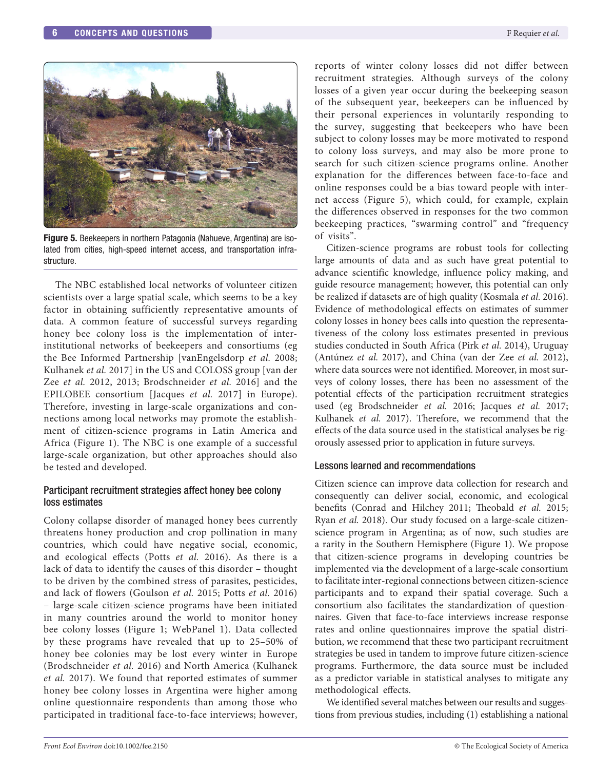

Figure 5. Beekeepers in northern Patagonia (Nahueve, Argentina) are isolated from cities, high-speed internet access, and transportation infrastructure.

The NBC established local networks of volunteer citizen scientists over a large spatial scale, which seems to be a key factor in obtaining sufficiently representative amounts of data. A common feature of successful surveys regarding honey bee colony loss is the implementation of interinstitutional networks of beekeepers and consortiums (eg the Bee Informed Partnership [vanEngelsdorp *et al.* 2008; Kulhanek *et al.* 2017] in the US and COLOSS group [van der Zee *et al.* 2012, 2013; Brodschneider *et al.* 2016] and the EPILOBEE consortium [Jacques *et al.* 2017] in Europe). Therefore, investing in large-scale organizations and connections among local networks may promote the establishment of citizen-science programs in Latin America and Africa (Figure 1). The NBC is one example of a successful large-scale organization, but other approaches should also be tested and developed.

## Participant recruitment strategies affect honey bee colony loss estimates

Colony collapse disorder of managed honey bees currently threatens honey production and crop pollination in many countries, which could have negative social, economic, and ecological effects (Potts *et al.* 2016). As there is a lack of data to identify the causes of this disorder – thought to be driven by the combined stress of parasites, pesticides, and lack of flowers (Goulson *et al.* 2015; Potts *et al.* 2016) – large-scale citizen-science programs have been initiated in many countries around the world to monitor honey bee colony losses (Figure 1; WebPanel 1). Data collected by these programs have revealed that up to 25–50% of honey bee colonies may be lost every winter in Europe (Brodschneider *et al.* 2016) and North America (Kulhanek *et al.* 2017). We found that reported estimates of summer honey bee colony losses in Argentina were higher among online questionnaire respondents than among those who participated in traditional face-to-face interviews; however,

reports of winter colony losses did not differ between recruitment strategies. Although surveys of the colony losses of a given year occur during the beekeeping season of the subsequent year, beekeepers can be influenced by their personal experiences in voluntarily responding to the survey, suggesting that beekeepers who have been subject to colony losses may be more motivated to respond to colony loss surveys, and may also be more prone to search for such citizen-science programs online. Another explanation for the differences between face-to-face and online responses could be a bias toward people with internet access (Figure 5), which could, for example, explain the differences observed in responses for the two common beekeeping practices, "swarming control" and "frequency of visits".

Citizen-science programs are robust tools for collecting large amounts of data and as such have great potential to advance scientific knowledge, influence policy making, and guide resource management; however, this potential can only be realized if datasets are of high quality (Kosmala *et al.* 2016). Evidence of methodological effects on estimates of summer colony losses in honey bees calls into question the representativeness of the colony loss estimates presented in previous studies conducted in South Africa (Pirk *et al.* 2014), Uruguay (Antúnez *et al.* 2017), and China (van der Zee *et al.* 2012), where data sources were not identified. Moreover, in most surveys of colony losses, there has been no assessment of the potential effects of the participation recruitment strategies used (eg Brodschneider *et al.* 2016; Jacques *et al.* 2017; Kulhanek *et al.* 2017). Therefore, we recommend that the effects of the data source used in the statistical analyses be rigorously assessed prior to application in future surveys.

## Lessons learned and recommendations

Citizen science can improve data collection for research and consequently can deliver social, economic, and ecological benefits (Conrad and Hilchey 2011; Theobald *et al.* 2015; Ryan *et al.* 2018). Our study focused on a large-scale citizenscience program in Argentina; as of now, such studies are a rarity in the Southern Hemisphere (Figure 1). We propose that citizen-science programs in developing countries be implemented via the development of a large-scale consortium to facilitate inter-regional connections between citizen-science participants and to expand their spatial coverage. Such a consortium also facilitates the standardization of questionnaires. Given that face-to-face interviews increase response rates and online questionnaires improve the spatial distribution, we recommend that these two participant recruitment strategies be used in tandem to improve future citizen-science programs. Furthermore, the data source must be included as a predictor variable in statistical analyses to mitigate any methodological effects.

We identified several matches between our results and suggestions from previous studies, including (1) establishing a national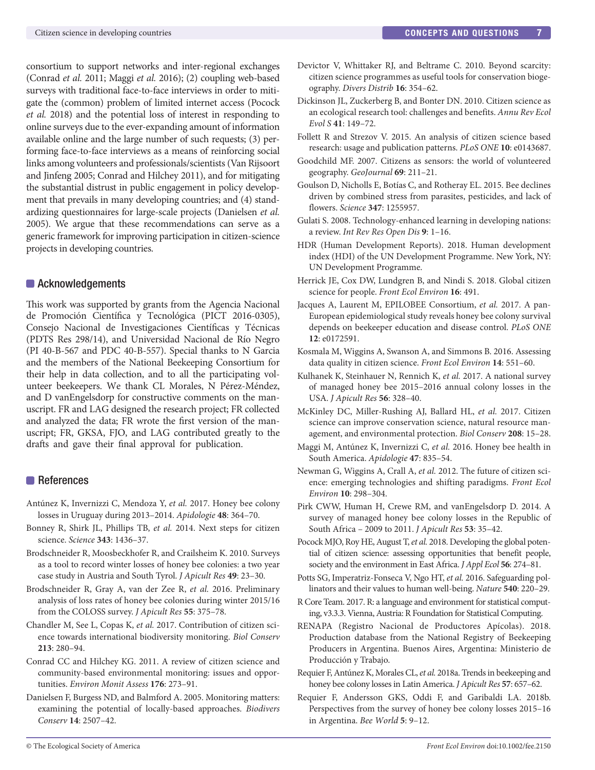consortium to support networks and inter-regional exchanges (Conrad *et al.* 2011; Maggi *et al.* 2016); (2) coupling web-based surveys with traditional face-to-face interviews in order to mitigate the (common) problem of limited internet access (Pocock *et al.* 2018) and the potential loss of interest in responding to online surveys due to the ever-expanding amount of information available online and the large number of such requests; (3) performing face-to-face interviews as a means of reinforcing social links among volunteers and professionals/scientists (Van Rijsoort and Jinfeng 2005; Conrad and Hilchey 2011), and for mitigating the substantial distrust in public engagement in policy development that prevails in many developing countries; and (4) standardizing questionnaires for large-scale projects (Danielsen *et al.* 2005). We argue that these recommendations can serve as a generic framework for improving participation in citizen-science projects in developing countries.

## **Acknowledgements**

This work was supported by grants from the Agencia Nacional de Promoción Científica y Tecnológica (PICT 2016-0305), Consejo Nacional de Investigaciones Científicas y Técnicas (PDTS Res 298/14), and Universidad Nacional de Río Negro (PI 40-B-567 and PDC 40-B-557). Special thanks to N Garcia and the members of the National Beekeeping Consortium for their help in data collection, and to all the participating volunteer beekeepers. We thank CL Morales, N Pérez-Méndez, and D vanEngelsdorp for constructive comments on the manuscript. FR and LAG designed the research project; FR collected and analyzed the data; FR wrote the first version of the manuscript; FR, GKSA, FJO, and LAG contributed greatly to the drafts and gave their final approval for publication.

## References

- Antúnez K, Invernizzi C, Mendoza Y, *et al.* 2017. Honey bee colony losses in Uruguay during 2013–2014. *Apidologie* **48**: 364–70.
- Bonney R, Shirk JL, Phillips TB, *et al.* 2014. Next steps for citizen science. *Science* **343**: 1436–37.
- Brodschneider R, Moosbeckhofer R, and Crailsheim K. 2010. Surveys as a tool to record winter losses of honey bee colonies: a two year case study in Austria and South Tyrol. *J Apicult Res* **49**: 23–30.
- Brodschneider R, Gray A, van der Zee R, *et al.* 2016. Preliminary analysis of loss rates of honey bee colonies during winter 2015/16 from the COLOSS survey. *J Apicult Res* **55**: 375–78.
- Chandler M, See L, Copas K, *et al.* 2017. Contribution of citizen science towards international biodiversity monitoring. *Biol Conserv* **213**: 280–94.
- Conrad CC and Hilchey KG. 2011. A review of citizen science and community-based environmental monitoring: issues and opportunities. *Environ Monit Assess* **176**: 273–91.
- Danielsen F, Burgess ND, and Balmford A. 2005. Monitoring matters: examining the potential of locally-based approaches. *Biodivers Conserv* **14**: 2507–42.
- Devictor V, Whittaker RJ, and Beltrame C. 2010. Beyond scarcity: citizen science programmes as useful tools for conservation biogeography. *Divers Distrib* **16**: 354–62.
- Dickinson JL, Zuckerberg B, and Bonter DN. 2010. Citizen science as an ecological research tool: challenges and benefits. *Annu Rev Ecol Evol S* **41**: 149–72.
- Follett R and Strezov V. 2015. An analysis of citizen science based research: usage and publication patterns. *PLoS ONE* **10**: e0143687.
- Goodchild MF. 2007. Citizens as sensors: the world of volunteered geography. *GeoJournal* **69**: 211–21.
- Goulson D, Nicholls E, Botías C, and Rotheray EL. 2015. Bee declines driven by combined stress from parasites, pesticides, and lack of flowers. *Science* **347**: 1255957.
- Gulati S. 2008. Technology-enhanced learning in developing nations: a review. *Int Rev Res Open Dis* **9**: 1–16.
- HDR (Human Development Reports). 2018. Human development index (HDI) of the UN Development Programme. New York, NY: UN Development Programme.
- Herrick JE, Cox DW, Lundgren B, and Nindi S. 2018. Global citizen science for people. *Front Ecol Environ* **16**: 491.
- Jacques A, Laurent M, EPILOBEE Consortium, *et al.* 2017. A pan-European epidemiological study reveals honey bee colony survival depends on beekeeper education and disease control. *PLoS ONE* **12**: e0172591.
- Kosmala M, Wiggins A, Swanson A, and Simmons B. 2016. Assessing data quality in citizen science. *Front Ecol Environ* **14**: 551–60.
- Kulhanek K, Steinhauer N, Rennich K, *et al.* 2017. A national survey of managed honey bee 2015–2016 annual colony losses in the USA. *J Apicult Res* **56**: 328–40.
- McKinley DC, Miller-Rushing AJ, Ballard HL, *et al.* 2017. Citizen science can improve conservation science, natural resource management, and environmental protection. *Biol Conserv* **208**: 15–28.
- Maggi M, Antúnez K, Invernizzi C, *et al.* 2016. Honey bee health in South America. *Apidologie* **47**: 835–54.
- Newman G, Wiggins A, Crall A, *et al.* 2012. The future of citizen science: emerging technologies and shifting paradigms. *Front Ecol Environ* **10**: 298–304.
- Pirk CWW, Human H, Crewe RM, and vanEngelsdorp D. 2014. A survey of managed honey bee colony losses in the Republic of South Africa – 2009 to 2011. *J Apicult Res* **53**: 35–42.
- Pocock MJO, Roy HE, August T, *et al.* 2018. Developing the global potential of citizen science: assessing opportunities that benefit people, society and the environment in East Africa. *J Appl Ecol* **56**: 274–81.
- Potts SG, Imperatriz-Fonseca V, Ngo HT, *et al.* 2016. Safeguarding pollinators and their values to human well-being. *Nature* **540**: 220–29.
- R Core Team. 2017. R: a language and environment for statistical computing, v3.3.3. Vienna, Austria: R Foundation for Statistical Computing.
- RENAPA (Registro Nacional de Productores Apícolas). 2018. Production database from the National Registry of Beekeeping Producers in Argentina. Buenos Aires, Argentina: Ministerio de Producción y Trabajo.
- Requier F, Antúnez K, Morales CL, *et al.* 2018a. Trends in beekeeping and honey bee colony losses in Latin America. *J Apicult Res* **57**: 657–62.
- Requier F, Andersson GKS, Oddi F, and Garibaldi LA. 2018b. Perspectives from the survey of honey bee colony losses 2015–16 in Argentina. *Bee World* **5**: 9–12.